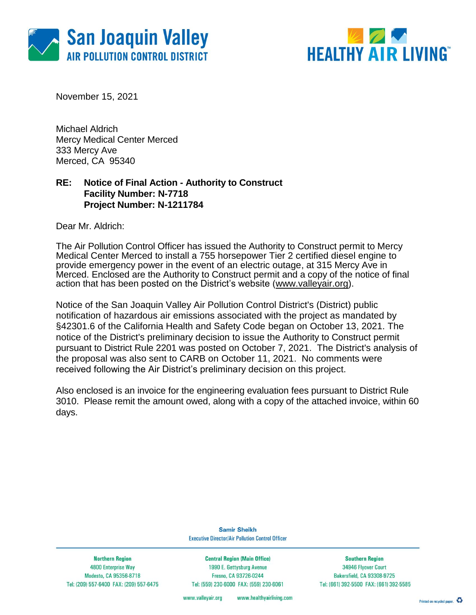



November 15, 2021

Michael Aldrich Mercy Medical Center Merced 333 Mercy Ave Merced, CA 95340

### **RE: Notice of Final Action - Authority to Construct Facility Number: N-7718 Project Number: N-1211784**

Dear Mr. Aldrich:

The Air Pollution Control Officer has issued the Authority to Construct permit to Mercy Medical Center Merced to install a 755 horsepower Tier 2 certified diesel engine to provide emergency power in the event of an electric outage, at 315 Mercy Ave in Merced. Enclosed are the Authority to Construct permit and a copy of the notice of final action that has been posted on the District's website [\(www.valleyair.org\)](http://www.valleyair.org/).

Notice of the San Joaquin Valley Air Pollution Control District's (District) public notification of hazardous air emissions associated with the project as mandated by §42301.6 of the California Health and Safety Code began on October 13, 2021. The notice of the District's preliminary decision to issue the Authority to Construct permit pursuant to District Rule 2201 was posted on October 7, 2021. The District's analysis of the proposal was also sent to CARB on October 11, 2021. No comments were received following the Air District's preliminary decision on this project.

Also enclosed is an invoice for the engineering evaluation fees pursuant to District Rule 3010. Please remit the amount owed, along with a copy of the attached invoice, within 60 days.

> **Samir Sheikh Executive Director/Air Pollution Control Officer**

**Northern Region** 4800 Enterprise Way Modesto, CA 95356-8718 Tel: (209) 557-6400 FAX: (209) 557-6475

**Central Region (Main Office)** 1990 E. Gettysburg Avenue Fresno, CA 93726-0244 Tel: (559) 230-6000 FAX: (559) 230-6061

**Southern Region** 34946 Flyover Court Bakersfield, CA 93308-9725 Tel: (661) 392-5500 FAX: (661) 392-5585

www.healthyairliving.com www.valleyair.org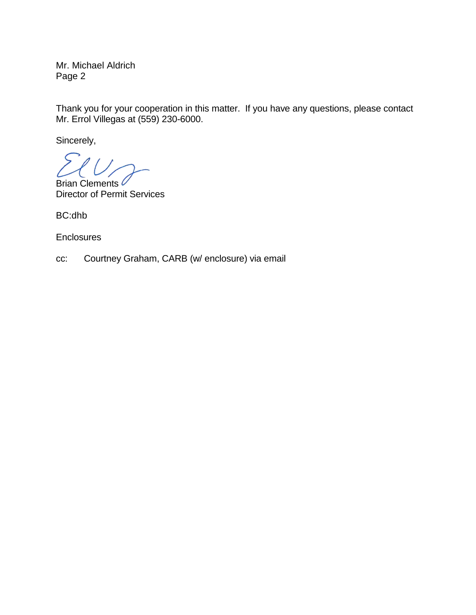Mr. Michael Aldrich Page 2

Thank you for your cooperation in this matter. If you have any questions, please contact Mr. Errol Villegas at (559) 230-6000.

Sincerely,

Brian Clements C Director of Permit Services

BC:dhb

**Enclosures** 

cc: Courtney Graham, CARB (w/ enclosure) via email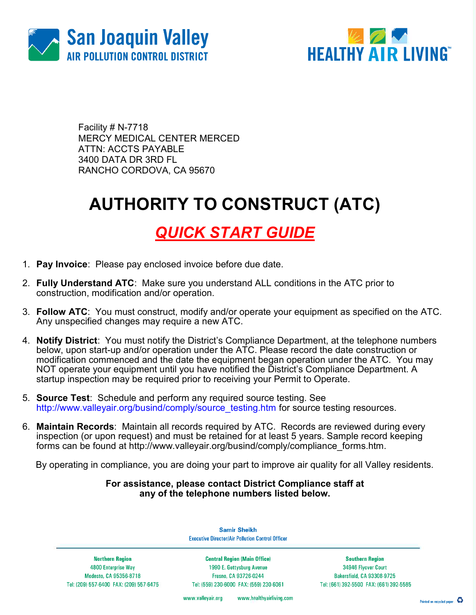



Facility # N-7718 MERCY MEDICAL CENTER MERCED ATTN: ACCTS PAYABLE 3400 DATA DR 3RD FL RANCHO CORDOVA, CA 95670

# AUTHORITY TO CONSTRUCT (ATC)

### QUICK START GUIDE

- 1. Pay Invoice: Please pay enclosed invoice before due date.
- 2. Fully Understand ATC: Make sure you understand ALL conditions in the ATC prior to construction, modification and/or operation.
- 3. Follow ATC: You must construct, modify and/or operate your equipment as specified on the ATC. Any unspecified changes may require a new ATC.
- 4. **Notify District**: You must notify the District's Compliance Department, at the telephone numbers below, upon start-up and/or operation under the ATC. Please record the date construction or modification commenced and the date the equipment began operation under the ATC. You may NOT operate your equipment until you have notified the District's Compliance Department. A startup inspection may be required prior to receiving your Permit to Operate.
- 5. Source Test: Schedule and perform any required source testing. See http://www.valleyair.org/busind/comply/source\_testing.htm for source testing resources.
- 6. Maintain Records: Maintain all records required by ATC. Records are reviewed during every inspection (or upon request) and must be retained for at least 5 years. Sample record keeping forms can be found at http://www.valleyair.org/busind/comply/compliance\_forms.htm.

By operating in compliance, you are doing your part to improve air quality for all Valley residents.

### For assistance, please contact District Compliance staff at any of the telephone numbers listed below.

**Samir Sheikh Executive Director/Air Pollution Control Officer** 

**Northern Region** 4800 Enterprise Way Modesto, CA 95356-8718 Tel: (209) 557-6400 FAX: (209) 557-6475

**Central Region (Main Office)** 1990 E. Gettysburg Avenue Fresno, CA 93726-0244 Tel: (559) 230-6000 FAX: (559) 230-6061

**Southern Region** 34946 Flyover Court Bakersfield, CA 93308-9725 Tel: (661) 392-5500 FAX: (661) 392-5585

www.valleyair.org www.healthyairliving.com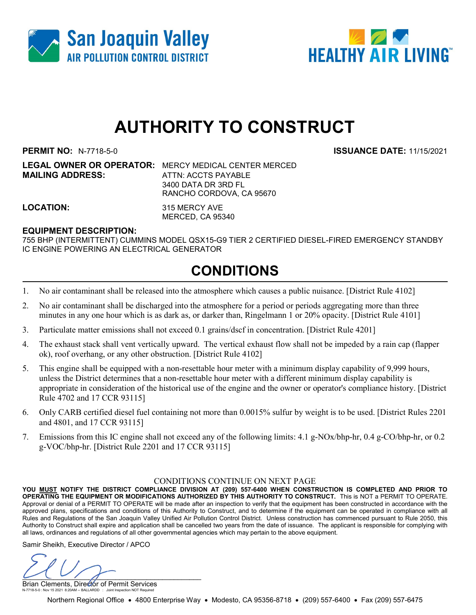



## AUTHORITY TO CONSTRUCT

PERMIT NO: N-7718-5-0 ISSUANCE DATE: 11/15/2021

**MAILING ADDRESS:** ATTN: ACCTS PAYABLE

LEGAL OWNER OR OPERATOR: MERCY MEDICAL CENTER MERCED 3400 DATA DR 3RD FL RANCHO CORDOVA, CA 95670

LOCATION: 315 MERCY AVE MERCED, CA 95340

#### EQUIPMENT DESCRIPTION:

755 BHP (INTERMITTENT) CUMMINS MODEL QSX15-G9 TIER 2 CERTIFIED DIESEL-FIRED EMERGENCY STANDBY IC ENGINE POWERING AN ELECTRICAL GENERATOR

### CONDITIONS

- 1. No air contaminant shall be released into the atmosphere which causes a public nuisance. [District Rule 4102]
- 2. No air contaminant shall be discharged into the atmosphere for a period or periods aggregating more than three minutes in any one hour which is as dark as, or darker than, Ringelmann 1 or 20% opacity. [District Rule 4101]
- 3. Particulate matter emissions shall not exceed 0.1 grains/dscf in concentration. [District Rule 4201]
- 4. The exhaust stack shall vent vertically upward. The vertical exhaust flow shall not be impeded by a rain cap (flapper ok), roof overhang, or any other obstruction. [District Rule 4102]
- 5. This engine shall be equipped with a non-resettable hour meter with a minimum display capability of 9,999 hours, unless the District determines that a non-resettable hour meter with a different minimum display capability is appropriate in consideration of the historical use of the engine and the owner or operator's compliance history. [District Rule 4702 and 17 CCR 93115]
- 6. Only CARB certified diesel fuel containing not more than 0.0015% sulfur by weight is to be used. [District Rules 2201 and 4801, and 17 CCR 93115]
- 7. Emissions from this IC engine shall not exceed any of the following limits: 4.1 g-NOx/bhp-hr, 0.4 g-CO/bhp-hr, or 0.2 g-VOC/bhp-hr. [District Rule 2201 and 17 CCR 93115]

#### CONDITIONS CONTINUE ON NEXT PAGE

YOU MUST NOTIFY THE DISTRICT COMPLIANCE DIVISION AT (209) 557-6400 WHEN CONSTRUCTION IS COMPLETED AND PRIOR TO OPERATING THE EQUIPMENT OR MODIFICATIONS AUTHORIZED BY THIS AUTHORITY TO CONSTRUCT. This is NOT a PERMIT TO OPERATE. Approval or denial of a PERMIT TO OPERATE will be made after an inspection to verify that the equipment has been constructed in accordance with the approved plans, specifications and conditions of this Authority to Construct, and to determine if the equipment can be operated in compliance with all Rules and Regulations of the San Joaquin Valley Unified Air Pollution Control District. Unless construction has commenced pursuant to Rule 2050, this Authority to Construct shall expire and application shall be cancelled two years from the date of issuance. The applicant is responsible for complying with all laws, ordinances and regulations of all other governmental agencies which may pertain to the above equipment.

Samir Sheikh, Executive Director / APCO

 $\cup$ 

Brian Clements, Director of Permit Services N-7718-5-0 : Nov 15 2021 8:20AM -- BALLARDD : Joint Inspection NOT Required

Northern Regional Office • 4800 Enterprise Way • Modesto, CA 95356-8718 • (209) 557-6400 • Fax (209) 557-6475